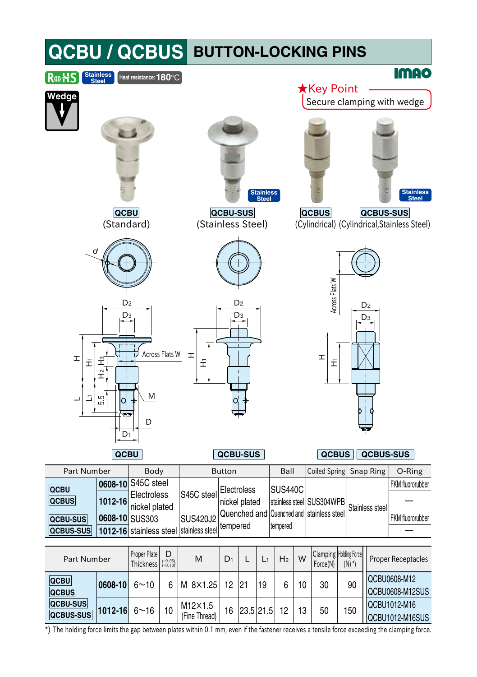| <b>QCBU / QCBUS</b>                                                                                |                                                              |                                                                          |               |                                              |                    |                                            |    | <b>BUTTON-LOCKING PINS</b>                   |                      |                                  |                                              |
|----------------------------------------------------------------------------------------------------|--------------------------------------------------------------|--------------------------------------------------------------------------|---------------|----------------------------------------------|--------------------|--------------------------------------------|----|----------------------------------------------|----------------------|----------------------------------|----------------------------------------------|
| Stainless<br>Steel<br>R⊕₩S                                                                         | Heat resistance: 180°C                                       |                                                                          |               |                                              |                    |                                            |    |                                              |                      |                                  | <b>IMAO</b>                                  |
| Wedge                                                                                              |                                                              |                                                                          |               |                                              |                    |                                            |    | <b>★</b> Key Point                           |                      |                                  | Secure clamping with wedge                   |
| QCBU                                                                                               |                                                              |                                                                          | QCBU-SUS      |                                              | Stainless<br>Steel |                                            |    | <b>QCBUS</b>                                 |                      | QCBUS-SUS                        | Stainless<br>Steel                           |
| (Standard)                                                                                         |                                                              | (Stainless Steel)                                                        |               |                                              |                    |                                            |    |                                              |                      |                                  | (Cylindrical) (Cylindrical, Stainless Steel) |
| d                                                                                                  |                                                              |                                                                          |               |                                              |                    |                                            |    |                                              |                      |                                  |                                              |
| D <sub>2</sub><br>Dз<br>H<br>Ξ<br>£<br>$\hat{\vec{\tau}}$<br>5.5<br>ℶ<br>O,<br>¢<br>D <sub>1</sub> | Across Flats W<br>M<br>D                                     | H<br>E                                                                   |               | D <sub>2</sub><br>D <sub>3</sub>             |                    |                                            |    | Across Flats W<br>I<br>£                     |                      | D <sub>2</sub><br>D <sub>3</sub> |                                              |
| QCBU                                                                                               |                                                              |                                                                          | QCBU-SUS      |                                              |                    |                                            |    | <b>QCBUS</b>                                 |                      |                                  | <b>QCBUS-SUS</b>                             |
| <b>Part Number</b>                                                                                 | Body                                                         |                                                                          | <b>Button</b> |                                              |                    | Ball                                       |    | <b>Coiled Spring</b>                         |                      | Snap Ring                        | O-Ring                                       |
| 0608-10<br><b>QCBU</b><br>QCBUS<br>1012-16<br>QCBU-SUS<br>QCBUS-SUS                                | S45C steel<br>Electroless<br>nickel plated<br>0608-10 SUS303 | S45C steel<br><b>SUS420J2</b><br>1012-16 stainless steel stainless steel | tempered      | Electroless<br>nickel plated<br>Quenched and |                    | <b>SUS440C</b><br>Quenched and<br>tempered |    | stainless steel SUS304WPB<br>stainless steel |                      | Stainless steel                  | FKM fluororubber<br>FKM fluororubber         |
| Part Number                                                                                        | Proper Plate<br>D<br>$\binom{-0.05}{-0.10}$<br>Thickness     | M                                                                        | $D_1$         | L                                            | L١                 | H <sub>2</sub>                             | W  | Clamping Holding Force<br>Force(N)           | $(N)$ <sup>*</sup> ) |                                  | <b>Proper Receptacles</b>                    |
| QCBU<br>0608-10<br><b>QCBUS</b>                                                                    | $6 - 10$                                                     | M 8×1.25<br>6                                                            | 12            | 21                                           | 19                 | 6                                          | 10 | 30                                           | 90                   |                                  | QCBU0608-M12<br>QCBU0608-M12SUS              |
| <b>QCBU-SUS</b><br>1012-16<br><b>QCBUS-SUS</b>                                                     | 10<br>$6 - 16$                                               | M12×1.5<br>(Fine Thread)                                                 | 16            | 23.5 21.5                                    |                    | 12                                         | 13 | 50                                           | 150                  |                                  | QCBU1012-M16<br>QCBU1012-M16SUS              |

\*) The holding force limits the gap between plates within 0.1 mm, even if the fastener receives a tensile force exceeding the clamping force.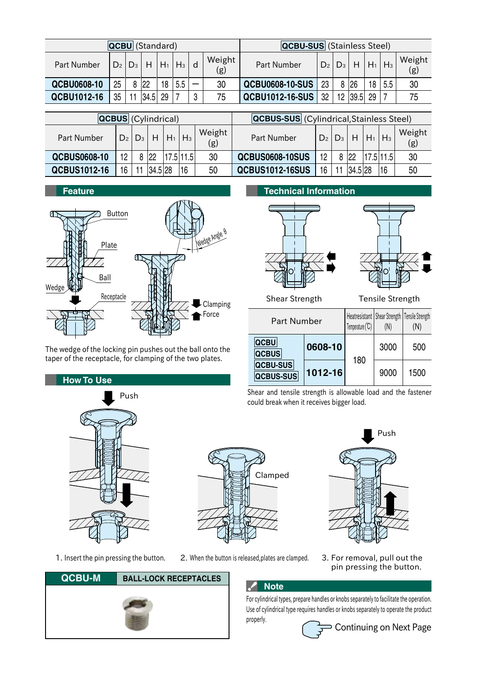| <b>QCBU</b> (Standard) |                |       |      |       |         |  | <b>QCBU-SUS</b> (Stainless Steel) |                        |    |                 |                             |      |     |               |
|------------------------|----------------|-------|------|-------|---------|--|-----------------------------------|------------------------|----|-----------------|-----------------------------|------|-----|---------------|
| <b>Part Number</b>     | D <sub>2</sub> | $D_3$ | H    | $H_1$ | $H_3$ d |  | Weight<br>(g)                     | Part Number            |    |                 | $D_2   D_3   H   H_1   H_3$ |      |     | Weight<br>(g) |
| QCBU0608-10            | 25             |       | 8 22 | 18    | 5.5     |  | 30                                | <b>QCBU0608-10-SUS</b> | 23 |                 | $ 26\rangle$                | 18 I | 5.5 | 30            |
| QCBU1012-16            | 35             |       | 34.5 | 29    |         |  | 75                                | <b>QCBU1012-16-SUS</b> | 32 | 12 <sup>°</sup> | 39.5                        | 29 I |     | 75            |

| <b>QCBUS</b> (Cylindrical) |                |       |         |                 |           |               | <b>QCBUS-SUS</b> (Cylindrical, Stainless Steel) |                |    |         |                     |           |               |
|----------------------------|----------------|-------|---------|-----------------|-----------|---------------|-------------------------------------------------|----------------|----|---------|---------------------|-----------|---------------|
| Part Number                | D <sub>2</sub> | $D_3$ |         | $H$ $ H_1 H_3 $ |           | Weight<br>(g) | Part Number                                     | D <sub>2</sub> |    |         | $D_3$ H $H_1$ $H_3$ |           | Weight<br>(g) |
| QCBUS0608-10               | 19             |       | 22      |                 | 17.5 11.5 | 30            | <b>QCBUS0608-10SUS</b>                          | 12             |    | 8 22    |                     | 17.5 11.5 | 30            |
| QCBUS1012-16               | 16             |       | 34.5 28 |                 | 16        | 50            | <b>QCBUS1012-16SUS</b>                          | 16             | 11 | 34.5 28 |                     | 16        | 50            |



The wedge of the locking pin pushes out the ball onto the taper of the receptacle, for clamping of the two plates.

**How To Use**







Shear Strength Tensile Strength

Push

| Part Number                 |         | Heatresistant Shear Strength   Tensile Strength<br>Temperature (°C) | (N)  | (N)  |  |
|-----------------------------|---------|---------------------------------------------------------------------|------|------|--|
| <b>QCBU</b><br><b>QCBUS</b> | 0608-10 | 180                                                                 | 3000 | 500  |  |
| QCBU-SUS<br>QCBUS-SUS       | 1012-16 |                                                                     | 9000 | 1500 |  |

Shear and tensile strength is allowable load and the fastener could break when it receives bigger load.



**QCBU-M BALL-LOCK RECEPTACLES**





- 
- pin pressing the button.

### **Note**

For cylindrical types, prepare handles or knobs separately to facilitate the operation. Use of cylindrical type requires handles or knobs separately to operate the product properly.



Continuing on Next Page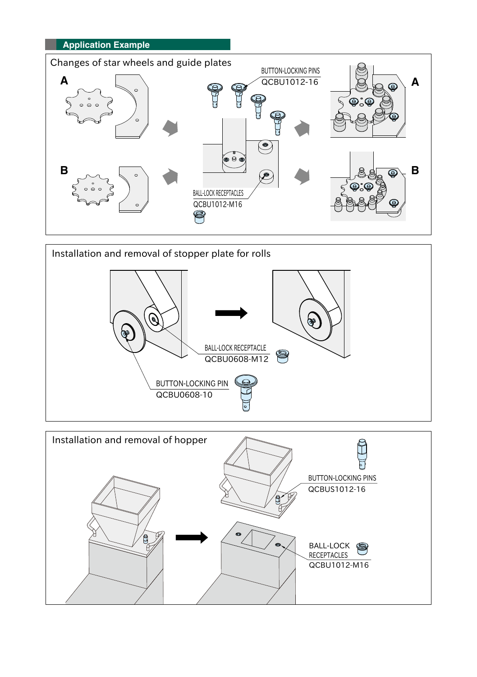



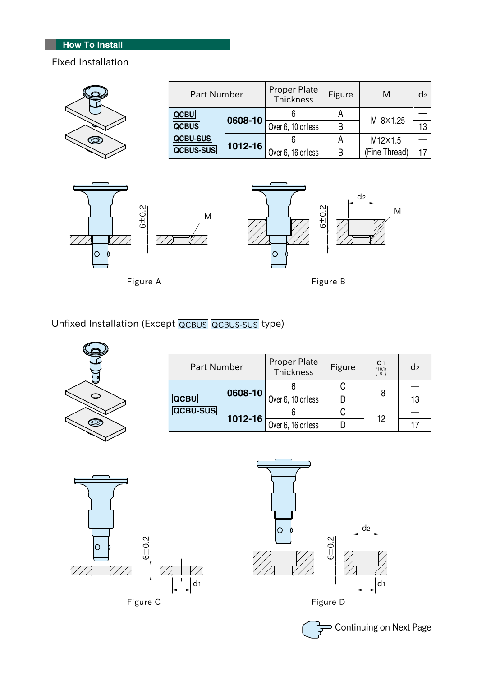# **How To Install**

## Fixed Installation

| Q | <b>Part Number</b> |             | <b>Proper Plate</b><br>Thickness | Figure | M             | d <sub>2</sub> |
|---|--------------------|-------------|----------------------------------|--------|---------------|----------------|
|   | <b>QCBU</b>        | 0608-10     |                                  |        |               |                |
|   | <b>QCBUS</b>       |             | Over 6, 10 or less               | В      | M 8×1.25      | 13             |
| Ø | <b>QCBU-SUS</b>    |             |                                  |        | M12×1.5       |                |
|   | <b>QCBUS-SUS</b>   | $1012 - 16$ | Over 6, 16 or less               | B      | (Fine Thread) |                |





Figure A **Figure B** 



Unfixed Installation (Except QCBUS QCBUS-SUS type)



| <b>Part Number</b>      |             | <b>Proper Plate</b><br><b>Thickness</b> | Figure | $\binom{+0.1}{0}$ | d <sub>2</sub> |
|-------------------------|-------------|-----------------------------------------|--------|-------------------|----------------|
| <b>QCBU</b><br>QCBU-SUS |             |                                         |        |                   |                |
|                         | 0608-10     | Over 6, 10 or less                      |        | 8                 | 13             |
|                         | $1012 - 16$ |                                         |        | 12                |                |
|                         |             | Over 6, 16 or less                      |        |                   |                |





Continuing on Next Page